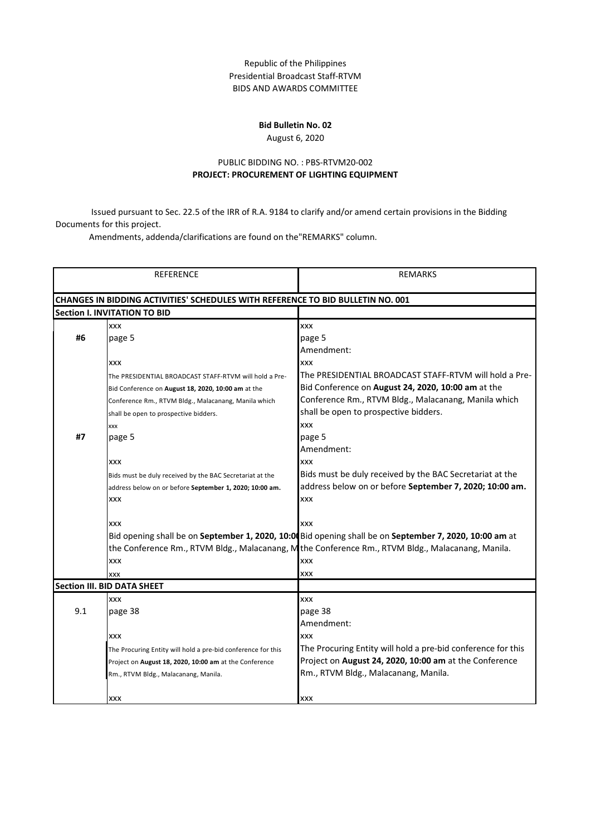## Republic of the Philippines Presidential Broadcast Staff-RTVM BIDS AND AWARDS COMMITTEE

## **Bid Bulletin No. 02**

## August 6, 2020

## PUBLIC BIDDING NO. : PBS-RTVM20-002 **PROJECT: PROCUREMENT OF LIGHTING EQUIPMENT**

Issued pursuant to Sec. 22.5 of the IRR of R.A. 9184 to clarify and/or amend certain provisions in the Bidding Documents for this project.<br>Amendments, addenda/clarifications are found on the"REMARKS" column.

|                                    | REFERENCE                                                                              | <b>REMARKS</b>                                                                                          |
|------------------------------------|----------------------------------------------------------------------------------------|---------------------------------------------------------------------------------------------------------|
|                                    | <b>CHANGES IN BIDDING ACTIVITIES' SCHEDULES WITH REFERENCE TO BID BULLETIN NO. 001</b> |                                                                                                         |
|                                    | <b>Section I. INVITATION TO BID</b>                                                    |                                                                                                         |
|                                    | XXX                                                                                    | XXX                                                                                                     |
| #6                                 | page 5                                                                                 | page 5                                                                                                  |
|                                    |                                                                                        | Amendment:                                                                                              |
|                                    | XXX                                                                                    | <b>XXX</b>                                                                                              |
|                                    | The PRESIDENTIAL BROADCAST STAFF-RTVM will hold a Pre-                                 | The PRESIDENTIAL BROADCAST STAFF-RTVM will hold a Pre-                                                  |
|                                    | Bid Conference on August 18, 2020, 10:00 am at the                                     | Bid Conference on August 24, 2020, 10:00 am at the                                                      |
|                                    | Conference Rm., RTVM Bldg., Malacanang, Manila which                                   | Conference Rm., RTVM Bldg., Malacanang, Manila which                                                    |
|                                    | shall be open to prospective bidders.                                                  | shall be open to prospective bidders.                                                                   |
|                                    | XXX                                                                                    | XXX                                                                                                     |
| #7                                 | page 5                                                                                 | page 5                                                                                                  |
|                                    |                                                                                        | Amendment:                                                                                              |
|                                    | XXX                                                                                    | XXX                                                                                                     |
|                                    | Bids must be duly received by the BAC Secretariat at the                               | Bids must be duly received by the BAC Secretariat at the                                                |
|                                    | address below on or before September 1, 2020; 10:00 am.                                | address below on or before September 7, 2020; 10:00 am.                                                 |
|                                    | XXX                                                                                    | XXX                                                                                                     |
|                                    | XXX                                                                                    | XXX                                                                                                     |
|                                    |                                                                                        | Bid opening shall be on September 1, 2020, 10:00 Bid opening shall be on September 7, 2020, 10:00 am at |
|                                    |                                                                                        | the Conference Rm., RTVM Bldg., Malacanang, M the Conference Rm., RTVM Bldg., Malacanang, Manila.       |
|                                    | XXX                                                                                    | XXX                                                                                                     |
|                                    | <b>XXX</b>                                                                             | XXX                                                                                                     |
| <b>Section III. BID DATA SHEET</b> |                                                                                        |                                                                                                         |
|                                    | <b>XXX</b>                                                                             | XXX                                                                                                     |
| 9.1                                | page 38                                                                                | page 38                                                                                                 |
|                                    |                                                                                        | Amendment:                                                                                              |
|                                    | <b>XXX</b>                                                                             | <b>XXX</b>                                                                                              |
|                                    | The Procuring Entity will hold a pre-bid conference for this                           | The Procuring Entity will hold a pre-bid conference for this                                            |
|                                    | Project on August 18, 2020, 10:00 am at the Conference                                 | Project on August 24, 2020, 10:00 am at the Conference                                                  |
|                                    | Rm., RTVM Bldg., Malacanang, Manila.                                                   | Rm., RTVM Bldg., Malacanang, Manila.                                                                    |
|                                    |                                                                                        |                                                                                                         |
|                                    | <b>XXX</b>                                                                             | <b>XXX</b>                                                                                              |